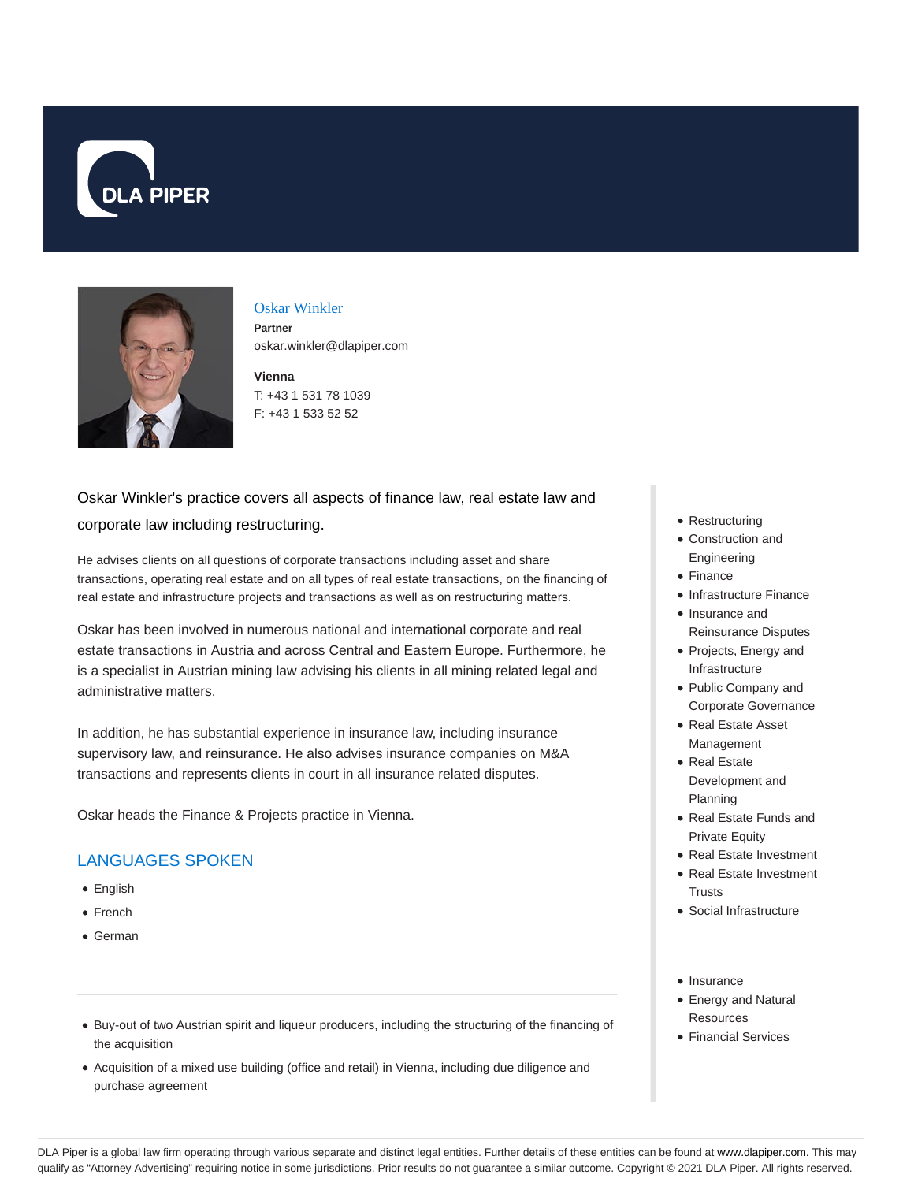



## Oskar Winkler

**Partner** oskar.winkler@dlapiper.com

**Vienna** T: +43 1 531 78 1039 F: +43 1 533 52 52

# Oskar Winkler's practice covers all aspects of finance law, real estate law and

#### corporate law including restructuring.

He advises clients on all questions of corporate transactions including asset and share transactions, operating real estate and on all types of real estate transactions, on the financing of real estate and infrastructure projects and transactions as well as on restructuring matters.

Oskar has been involved in numerous national and international corporate and real estate transactions in Austria and across Central and Eastern Europe. Furthermore, he is a specialist in Austrian mining law advising his clients in all mining related legal and administrative matters.

In addition, he has substantial experience in insurance law, including insurance supervisory law, and reinsurance. He also advises insurance companies on M&A transactions and represents clients in court in all insurance related disputes.

Oskar heads the Finance & Projects practice in Vienna.

### LANGUAGES SPOKEN

- **•** English
- French
- German
- Restructuring
- Construction and Engineering
- Finance
- Infrastructure Finance
- Insurance and Reinsurance Disputes
- Projects, Energy and Infrastructure
- Public Company and Corporate Governance
- Real Estate Asset Management
- Real Estate Development and Planning
- Real Estate Funds and Private Equity
- Real Estate Investment
- Real Estate Investment **Trusts**
- Social Infrastructure
- Insurance
- Energy and Natural Resources
- Financial Services
- Buy-out of two Austrian spirit and liqueur producers, including the structuring of the financing of the acquisition
- Acquisition of a mixed use building (office and retail) in Vienna, including due diligence and purchase agreement

DLA Piper is a global law firm operating through various separate and distinct legal entities. Further details of these entities can be found at www.dlapiper.com. This may qualify as "Attorney Advertising" requiring notice in some jurisdictions. Prior results do not guarantee a similar outcome. Copyright © 2021 DLA Piper. All rights reserved.